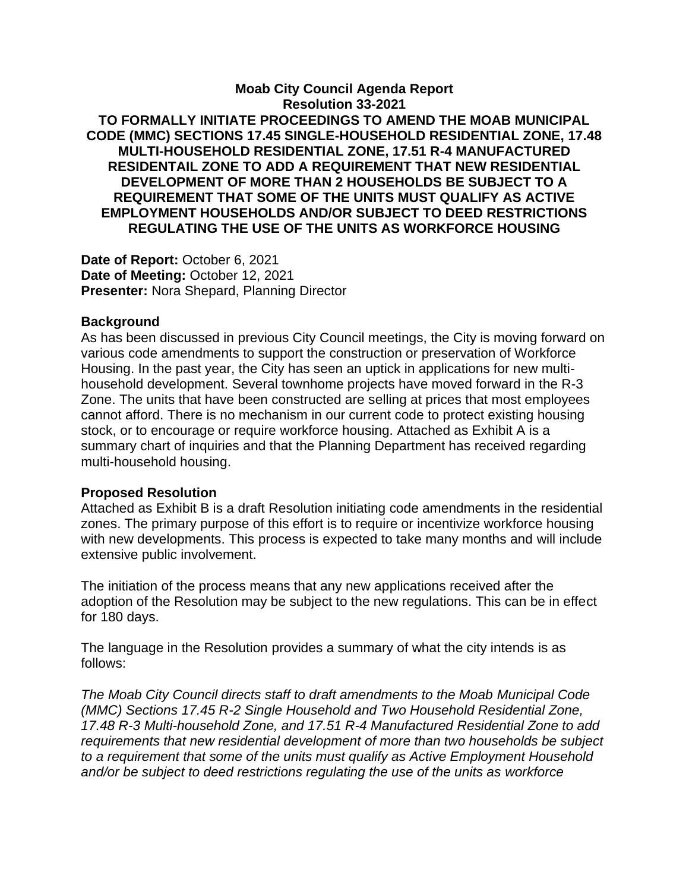## **Moab City Council Agenda Report Resolution 33-2021 TO FORMALLY INITIATE PROCEEDINGS TO AMEND THE MOAB MUNICIPAL CODE (MMC) SECTIONS 17.45 SINGLE-HOUSEHOLD RESIDENTIAL ZONE, 17.48 MULTI-HOUSEHOLD RESIDENTIAL ZONE, 17.51 R-4 MANUFACTURED RESIDENTAIL ZONE TO ADD A REQUIREMENT THAT NEW RESIDENTIAL DEVELOPMENT OF MORE THAN 2 HOUSEHOLDS BE SUBJECT TO A REQUIREMENT THAT SOME OF THE UNITS MUST QUALIFY AS ACTIVE EMPLOYMENT HOUSEHOLDS AND/OR SUBJECT TO DEED RESTRICTIONS REGULATING THE USE OF THE UNITS AS WORKFORCE HOUSING**

Date of Report: October 6, 2021 **Date of Meeting:** October 12, 2021 **Presenter:** Nora Shepard, Planning Director

## **Background**

As has been discussed in previous City Council meetings, the City is moving forward on various code amendments to support the construction or preservation of Workforce Housing. In the past year, the City has seen an uptick in applications for new multihousehold development. Several townhome projects have moved forward in the R-3 Zone. The units that have been constructed are selling at prices that most employees cannot afford. There is no mechanism in our current code to protect existing housing stock, or to encourage or require workforce housing. Attached as Exhibit A is a summary chart of inquiries and that the Planning Department has received regarding multi-household housing.

## **Proposed Resolution**

Attached as Exhibit B is a draft Resolution initiating code amendments in the residential zones. The primary purpose of this effort is to require or incentivize workforce housing with new developments. This process is expected to take many months and will include extensive public involvement.

The initiation of the process means that any new applications received after the adoption of the Resolution may be subject to the new regulations. This can be in effect for 180 days.

The language in the Resolution provides a summary of what the city intends is as follows:

*The Moab City Council directs staff to draft amendments to the Moab Municipal Code (MMC) Sections 17.45 R-2 Single Household and Two Household Residential Zone, 17.48 R-3 Multi-household Zone, and 17.51 R-4 Manufactured Residential Zone to add requirements that new residential development of more than two households be subject to a requirement that some of the units must qualify as Active Employment Household and/or be subject to deed restrictions regulating the use of the units as workforce*